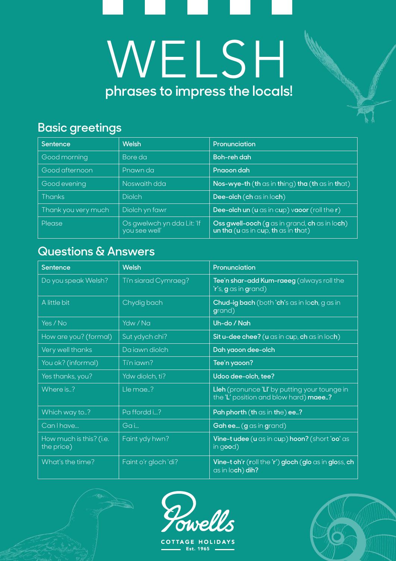# **phrases to impress the locals!**WELSH

#### **Basic greetings**

| Sentence            | <b>Welsh</b>                                | Pronunciation                                                                        |  |
|---------------------|---------------------------------------------|--------------------------------------------------------------------------------------|--|
| Good morning        | Bore da                                     | <b>Boh-reh dah</b>                                                                   |  |
| Good afternoon      | Pnawn da                                    | Pnaoon dah                                                                           |  |
| Good evening        | Noswaith dda                                | Nos-wye-th (th as in thing) tha (th as in that)                                      |  |
| <b>Thanks</b>       | <b>Diolch</b>                               | Dee-olch (ch as in loch)                                                             |  |
| Thank you very much | Diolch yn fawr                              | Dee-olch un $(u \cos in cup)$ vacor (roll the r)                                     |  |
| Please              | Os gwelwch yn dda Lit: 'If<br>you see well' | Oss gwell-ooch (g as in grand, ch as in loch)<br>un tha (u as in cup, th as in that) |  |

#### **Questions & Answers**

| Sentence                              | <b>Welsh</b>         | Pronunciation                                                                          |  |
|---------------------------------------|----------------------|----------------------------------------------------------------------------------------|--|
| Do you speak Welsh?                   | Ti'n siarad Cymraeg? | Tee'n shar-add Kum-raeeg (always roll the<br>'r's, g as in grand)                      |  |
| A little bit                          | Chydig bach          | Chud-ig bach (both 'ch's as in loch, g as in<br>grand)                                 |  |
| Yes / No                              | Ydw / Na             | Uh-do / Nah                                                                            |  |
| How are you? (formal)                 | Sut ydych chi?       | Sit u-dee chee? (u as in cup, ch as in loch)                                           |  |
| Very well thanks                      | Da iawn diolch       | Dah yaoon dee-olch                                                                     |  |
| You ok? (informal)                    | Ti'n jawn?           | Tee'n yaoon?                                                                           |  |
| Yes thanks, you?                      | Ydw diolch, ti?      | Udoo dee-olch, tee?                                                                    |  |
| Where is?                             | Lle mae?             | Lleh (pronunce 'Ll' by putting your tounge in<br>the 'L' position and blow hard) maee? |  |
| Which way to?                         | Pa ffordd i?         | Pah phorth (th as in the) ee?                                                          |  |
| Can I have                            | Gai                  | Gah ee (g as in grand)                                                                 |  |
| How much is this? (i.e.<br>the price) | Faint ydy hwn?       | Vine-t udee (u as in cup) hoon? (short 'oo' as<br>in $good)$                           |  |
| What's the time?                      | Faint o'r gloch 'di? | Vine-t oh'r (roll the 'r') gloch (glo as in gloss, ch<br>as in loch) dih?              |  |



**COTTAGE HOLIDAYS**  $\blacksquare$  Est. 1965